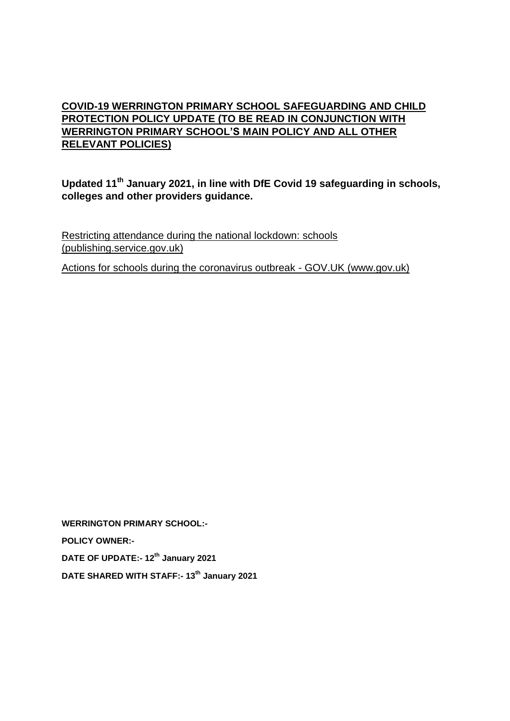## **COVID-19 WERRINGTON PRIMARY SCHOOL SAFEGUARDING AND CHILD PROTECTION POLICY UPDATE (TO BE READ IN CONJUNCTION WITH WERRINGTON PRIMARY SCHOOL'S MAIN POLICY AND ALL OTHER RELEVANT POLICIES)**

**Updated 11th January 2021, in line with DfE Covid 19 safeguarding in schools, colleges and other providers guidance.**

[Restricting attendance during the national lockdown: schools](https://assets.publishing.service.gov.uk/government/uploads/system/uploads/attachment_data/file/950510/School_national_restrictions_guidance.pdf)  [\(publishing.service.gov.uk\)](https://assets.publishing.service.gov.uk/government/uploads/system/uploads/attachment_data/file/950510/School_national_restrictions_guidance.pdf)

[Actions for schools during the coronavirus outbreak -](https://www.gov.uk/government/publications/actions-for-schools-during-the-coronavirus-outbreak) GOV.UK (www.gov.uk)

**WERRINGTON PRIMARY SCHOOL:- POLICY OWNER:- DATE OF UPDATE:- 12th January 2021 DATE SHARED WITH STAFF:- 13th January 2021**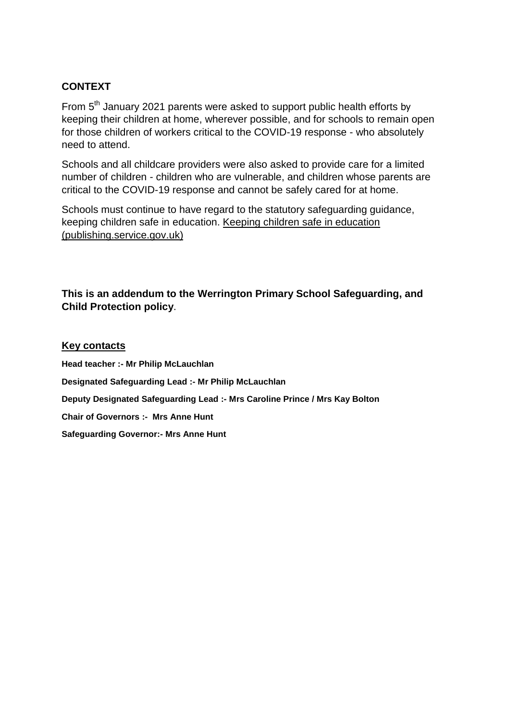#### **CONTEXT**

From 5<sup>th</sup> January 2021 parents were asked to support public health efforts by keeping their children at home, wherever possible, and for schools to remain open for those children of workers critical to the COVID-19 response - who absolutely need to attend.

Schools and all childcare providers were also asked to provide care for a limited number of children - children who are vulnerable, and children whose parents are critical to the COVID-19 response and cannot be safely cared for at home.

Schools must continue to have regard to the statutory safeguarding guidance, keeping children safe in education. [Keeping children safe in education](https://assets.publishing.service.gov.uk/government/uploads/system/uploads/attachment_data/file/912592/Keeping_children_safe_in_education_Sep_2020.pdf)  [\(publishing.service.gov.uk\)](https://assets.publishing.service.gov.uk/government/uploads/system/uploads/attachment_data/file/912592/Keeping_children_safe_in_education_Sep_2020.pdf)

**This is an addendum to the Werrington Primary School Safeguarding, and Child Protection policy**.

#### **Key contacts**

**Head teacher :- Mr Philip McLauchlan Designated Safeguarding Lead :- Mr Philip McLauchlan Deputy Designated Safeguarding Lead :- Mrs Caroline Prince / Mrs Kay Bolton Chair of Governors :- Mrs Anne Hunt Safeguarding Governor:- Mrs Anne Hunt**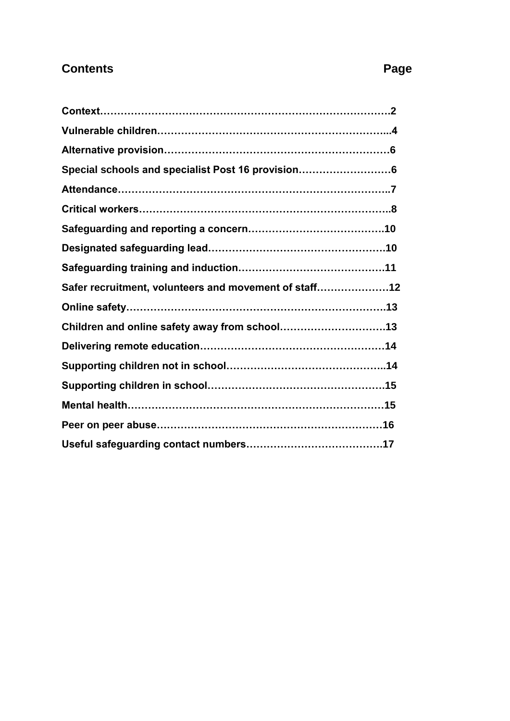# **Contents Page**

| Special schools and specialist Post 16 provision      |  |
|-------------------------------------------------------|--|
|                                                       |  |
|                                                       |  |
|                                                       |  |
|                                                       |  |
|                                                       |  |
| Safer recruitment, volunteers and movement of staff12 |  |
|                                                       |  |
|                                                       |  |
|                                                       |  |
|                                                       |  |
|                                                       |  |
|                                                       |  |
|                                                       |  |
|                                                       |  |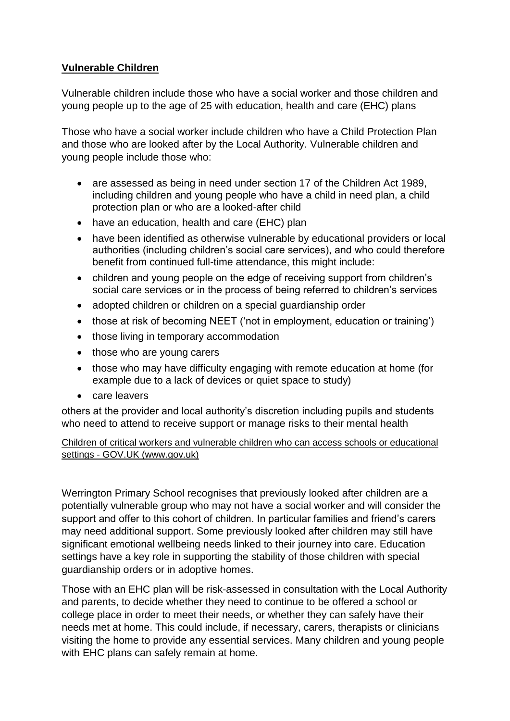#### **Vulnerable Children**

Vulnerable children include those who have a social worker and those children and young people up to the age of 25 with education, health and care (EHC) plans

Those who have a social worker include children who have a Child Protection Plan and those who are looked after by the Local Authority. Vulnerable children and young people include those who:

- are assessed as being in need under section 17 of the Children Act 1989, including children and young people who have a child in need plan, a child protection plan or who are a looked-after child
- have an education, health and care (EHC) plan
- have been identified as otherwise vulnerable by educational providers or local authorities (including children's social care services), and who could therefore benefit from continued full-time attendance, this might include:
- children and young people on the edge of receiving support from children's social care services or in the process of being referred to children's services
- adopted children or children on a special quardianship order
- those at risk of becoming NEET ('not in employment, education or training')
- those living in temporary accommodation
- those who are young carers
- those who may have difficulty engaging with remote education at home (for example due to a lack of devices or quiet space to study)
- care leavers

others at the provider and local authority's discretion including pupils and students who need to attend to receive support or manage risks to their mental health

#### Children of critical workers and vulnerable children who can access schools or educational settings - GOV.UK (www.gov.uk)

Werrington Primary School recognises that previously looked after children are a potentially vulnerable group who may not have a social worker and will consider the support and offer to this cohort of children. In particular families and friend's carers may need additional support. Some previously looked after children may still have significant emotional wellbeing needs linked to their journey into care. Education settings have a key role in supporting the stability of those children with special guardianship orders or in adoptive homes.

Those with an EHC plan will be risk-assessed in consultation with the Local Authority and parents, to decide whether they need to continue to be offered a school or college place in order to meet their needs, or whether they can safely have their needs met at home. This could include, if necessary, carers, therapists or clinicians visiting the home to provide any essential services. Many children and young people with EHC plans can safely remain at home.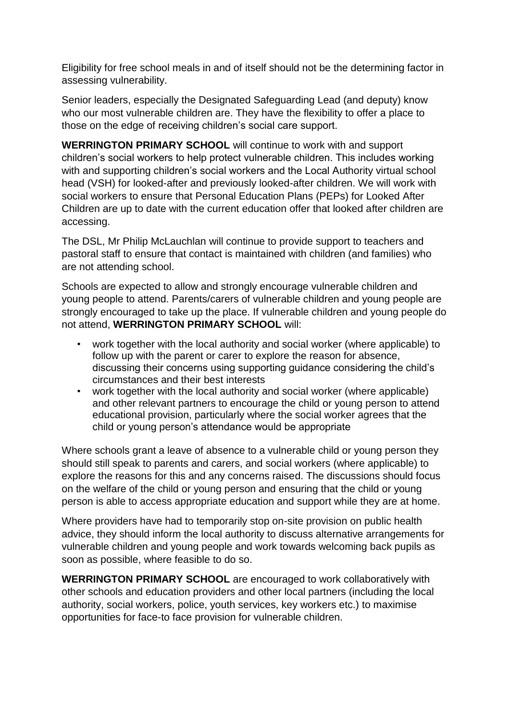Eligibility for free school meals in and of itself should not be the determining factor in assessing vulnerability.

Senior leaders, especially the Designated Safeguarding Lead (and deputy) know who our most vulnerable children are. They have the flexibility to offer a place to those on the edge of receiving children's social care support.

**WERRINGTON PRIMARY SCHOOL** will continue to work with and support children's social workers to help protect vulnerable children. This includes working with and supporting children's social workers and the Local Authority virtual school head (VSH) for looked-after and previously looked-after children. We will work with social workers to ensure that Personal Education Plans (PEPs) for Looked After Children are up to date with the current education offer that looked after children are accessing.

The DSL, Mr Philip McLauchlan will continue to provide support to teachers and pastoral staff to ensure that contact is maintained with children (and families) who are not attending school.

Schools are expected to allow and strongly encourage vulnerable children and young people to attend. Parents/carers of vulnerable children and young people are strongly encouraged to take up the place. If vulnerable children and young people do not attend, **WERRINGTON PRIMARY SCHOOL** will:

- work together with the local authority and social worker (where applicable) to follow up with the parent or carer to explore the reason for absence, discussing their concerns using supporting guidance considering the child's circumstances and their best interests
- work together with the local authority and social worker (where applicable) and other relevant partners to encourage the child or young person to attend educational provision, particularly where the social worker agrees that the child or young person's attendance would be appropriate

Where schools grant a leave of absence to a vulnerable child or young person they should still speak to parents and carers, and social workers (where applicable) to explore the reasons for this and any concerns raised. The discussions should focus on the welfare of the child or young person and ensuring that the child or young person is able to access appropriate education and support while they are at home.

Where providers have had to temporarily stop on-site provision on public health advice, they should inform the local authority to discuss alternative arrangements for vulnerable children and young people and work towards welcoming back pupils as soon as possible, where feasible to do so.

**WERRINGTON PRIMARY SCHOOL** are encouraged to work collaboratively with other schools and education providers and other local partners (including the local authority, social workers, police, youth services, key workers etc.) to maximise opportunities for face-to face provision for vulnerable children.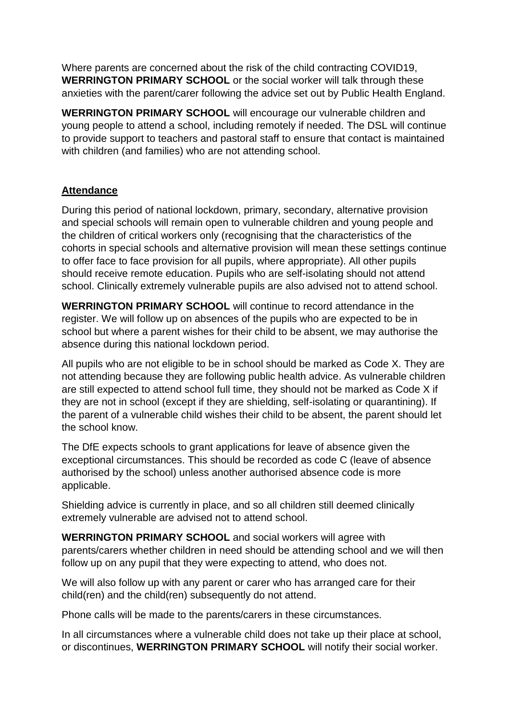Where parents are concerned about the risk of the child contracting COVID19, **WERRINGTON PRIMARY SCHOOL** or the social worker will talk through these anxieties with the parent/carer following the advice set out by Public Health England.

**WERRINGTON PRIMARY SCHOOL** will encourage our vulnerable children and young people to attend a school, including remotely if needed. The DSL will continue to provide support to teachers and pastoral staff to ensure that contact is maintained with children (and families) who are not attending school.

#### **Attendance**

During this period of national lockdown, primary, secondary, alternative provision and special schools will remain open to vulnerable children and young people and the children of critical workers only (recognising that the characteristics of the cohorts in special schools and alternative provision will mean these settings continue to offer face to face provision for all pupils, where appropriate). All other pupils should receive remote education. Pupils who are self-isolating should not attend school. Clinically extremely vulnerable pupils are also advised not to attend school.

**WERRINGTON PRIMARY SCHOOL** will continue to record attendance in the register. We will follow up on absences of the pupils who are expected to be in school but where a parent wishes for their child to be absent, we may authorise the absence during this national lockdown period.

All pupils who are not eligible to be in school should be marked as Code X. They are not attending because they are following public health advice. As vulnerable children are still expected to attend school full time, they should not be marked as Code X if they are not in school (except if they are shielding, self-isolating or quarantining). If the parent of a vulnerable child wishes their child to be absent, the parent should let the school know.

The DfE expects schools to grant applications for leave of absence given the exceptional circumstances. This should be recorded as code C (leave of absence authorised by the school) unless another authorised absence code is more applicable.

Shielding advice is currently in place, and so all children still deemed clinically extremely vulnerable are advised not to attend school.

**WERRINGTON PRIMARY SCHOOL** and social workers will agree with parents/carers whether children in need should be attending school and we will then follow up on any pupil that they were expecting to attend, who does not.

We will also follow up with any parent or carer who has arranged care for their child(ren) and the child(ren) subsequently do not attend.

Phone calls will be made to the parents/carers in these circumstances.

In all circumstances where a vulnerable child does not take up their place at school, or discontinues, **WERRINGTON PRIMARY SCHOOL** will notify their social worker.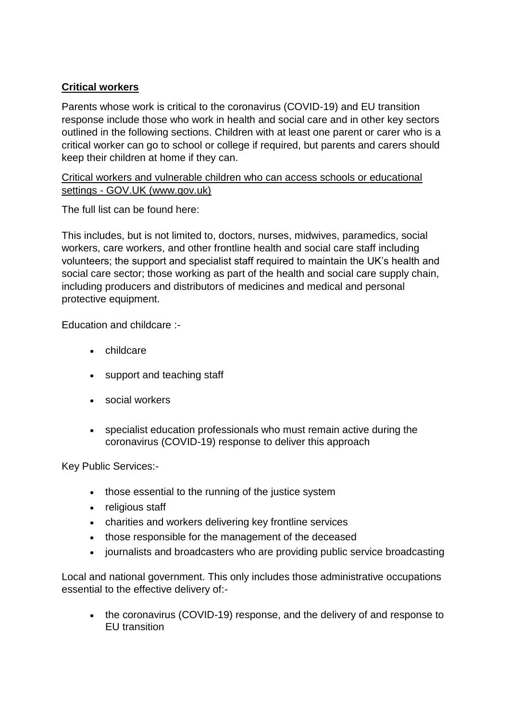## **Critical workers**

Parents whose work is critical to the coronavirus (COVID-19) and EU transition response include those who work in health and social care and in other key sectors outlined in the following sections. Children with at least one parent or carer who is a critical worker can go to school or college if required, but parents and carers should keep their children at home if they can.

#### [Critical workers and vulnerable children who can access schools or educational](https://www.gov.uk/government/publications/coronavirus-covid-19-maintaining-educational-provision?utm_source=4%20January%202021%20C19&utm_medium=Daily%20Email%20C19&utm_campaign=DfE%20C19)  settings - [GOV.UK \(www.gov.uk\)](https://www.gov.uk/government/publications/coronavirus-covid-19-maintaining-educational-provision?utm_source=4%20January%202021%20C19&utm_medium=Daily%20Email%20C19&utm_campaign=DfE%20C19)

The full list can be found here:

This includes, but is not limited to, doctors, nurses, midwives, paramedics, social workers, care workers, and other frontline health and social care staff including volunteers; the support and specialist staff required to maintain the UK's health and social care sector; those working as part of the health and social care supply chain, including producers and distributors of medicines and medical and personal protective equipment.

Education and childcare :-

- childcare
- support and teaching staff
- social workers
- specialist education professionals who must remain active during the coronavirus (COVID-19) response to deliver this approach

Key Public Services:-

- those essential to the running of the justice system
- religious staff
- charities and workers delivering key frontline services
- those responsible for the management of the deceased
- journalists and broadcasters who are providing public service broadcasting

Local and national government. This only includes those administrative occupations essential to the effective delivery of:-

• the coronavirus (COVID-19) response, and the delivery of and response to EU transition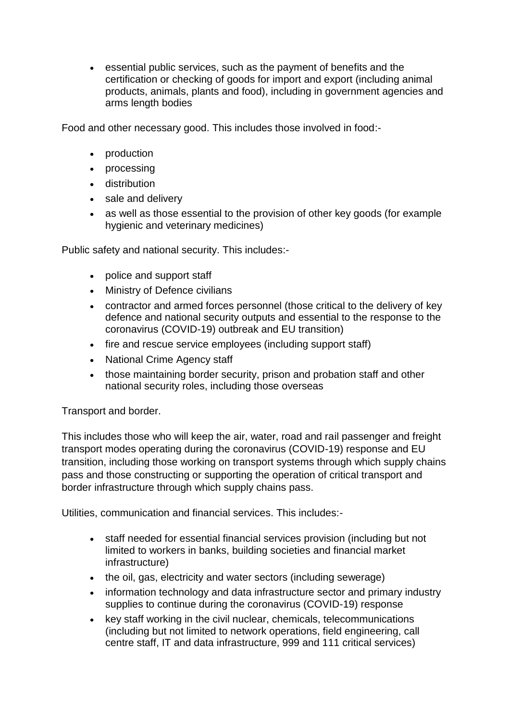essential public services, such as the payment of benefits and the certification or checking of goods for import and export (including animal products, animals, plants and food), including in government agencies and arms length bodies

Food and other necessary good. This includes those involved in food:-

- production
- processing
- **•** distribution
- sale and delivery
- as well as those essential to the provision of other key goods (for example hygienic and veterinary medicines)

Public safety and national security. This includes:-

- police and support staff
- Ministry of Defence civilians
- contractor and armed forces personnel (those critical to the delivery of key defence and national security outputs and essential to the response to the coronavirus (COVID-19) outbreak and EU transition)
- fire and rescue service employees (including support staff)
- National Crime Agency staff
- those maintaining border security, prison and probation staff and other national security roles, including those overseas

Transport and border.

This includes those who will keep the air, water, road and rail passenger and freight transport modes operating during the coronavirus (COVID-19) response and EU transition, including those working on transport systems through which supply chains pass and those constructing or supporting the operation of critical transport and border infrastructure through which supply chains pass.

Utilities, communication and financial services. This includes:-

- staff needed for essential financial services provision (including but not limited to workers in banks, building societies and financial market infrastructure)
- the oil, gas, electricity and water sectors (including sewerage)
- information technology and data infrastructure sector and primary industry supplies to continue during the coronavirus (COVID-19) response
- key staff working in the civil nuclear, chemicals, telecommunications (including but not limited to network operations, field engineering, call centre staff, IT and data infrastructure, 999 and 111 critical services)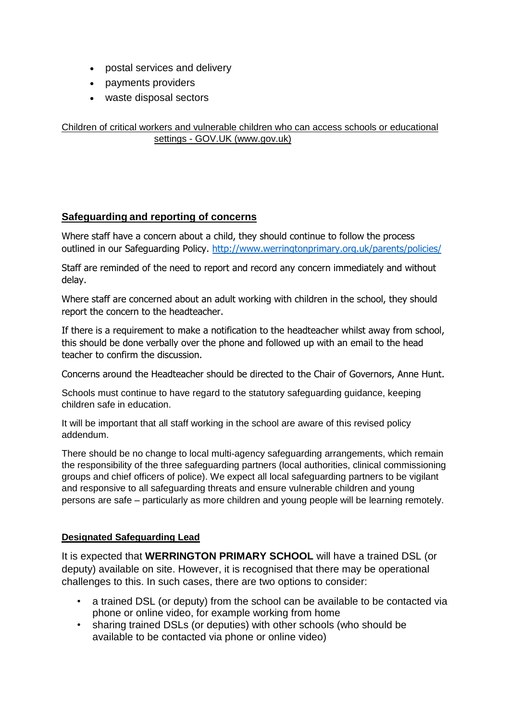- postal services and delivery
- payments providers
- waste disposal sectors

[Children of critical workers and vulnerable children who can access schools or educational](https://www.gov.uk/government/publications/coronavirus-covid-19-maintaining-educational-provision/guidance-for-schools-colleges-and-local-authorities-on-maintaining-educational-provision)  settings - [GOV.UK \(www.gov.uk\)](https://www.gov.uk/government/publications/coronavirus-covid-19-maintaining-educational-provision/guidance-for-schools-colleges-and-local-authorities-on-maintaining-educational-provision)

#### **Safeguarding and reporting of concerns**

Where staff have a concern about a child, they should continue to follow the process outlined in our Safeguarding Policy. <http://www.werringtonprimary.org.uk/parents/policies/>

Staff are reminded of the need to report and record any concern immediately and without delay.

Where staff are concerned about an adult working with children in the school, they should report the concern to the headteacher.

If there is a requirement to make a notification to the headteacher whilst away from school, this should be done verbally over the phone and followed up with an email to the head teacher to confirm the discussion.

Concerns around the Headteacher should be directed to the Chair of Governors, Anne Hunt.

Schools must continue to have regard to the statutory safeguarding guidance, keeping children safe in education.

It will be important that all staff working in the school are aware of this revised policy addendum.

There should be no change to local multi-agency safeguarding arrangements, which remain the responsibility of the three safeguarding partners (local authorities, clinical commissioning groups and chief officers of police). We expect all local safeguarding partners to be vigilant and responsive to all safeguarding threats and ensure vulnerable children and young persons are safe – particularly as more children and young people will be learning remotely.

#### **Designated Safeguarding Lead**

It is expected that **WERRINGTON PRIMARY SCHOOL** will have a trained DSL (or deputy) available on site. However, it is recognised that there may be operational challenges to this. In such cases, there are two options to consider:

- a trained DSL (or deputy) from the school can be available to be contacted via phone or online video, for example working from home
- sharing trained DSLs (or deputies) with other schools (who should be available to be contacted via phone or online video)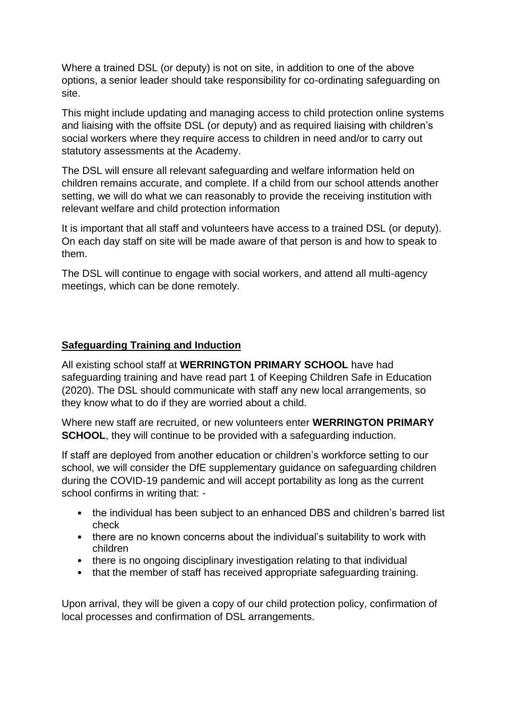Where a trained DSL (or deputy) is not on site, in addition to one of the above options, a senior leader should take responsibility for co-ordinating safeguarding on site.

This might include updating and managing access to child protection online systems and liaising with the offsite DSL (or deputy) and as required liaising with children's social workers where they require access to children in need and/or to carry out statutory assessments at the Academy.

The DSL will ensure all relevant safeguarding and welfare information held on children remains accurate, and complete. If a child from our school attends another setting, we will do what we can reasonably to provide the receiving institution with relevant welfare and child protection information

It is important that all staff and volunteers have access to a trained DSL (or deputy). On each day staff on site will be made aware of that person is and how to speak to them.

The DSL will continue to engage with social workers, and attend all multi-agency meetings, which can be done remotely.

#### **Safeguarding Training and Induction**

All existing school staff at **WERRINGTON PRIMARY SCHOOL** have had safeguarding training and have read part 1 of Keeping Children Safe in Education (2020). The DSL should communicate with staff any new local arrangements, so they know what to do if they are worried about a child.

Where new staff are recruited, or new volunteers enter **WERRINGTON PRIMARY SCHOOL**, they will continue to be provided with a safeguarding induction.

If staff are deployed from another education or children's workforce setting to our school, we will consider the DfE supplementary guidance on safeguarding children during the COVID-19 pandemic and will accept portability as long as the current school confirms in writing that: -

- the individual has been subject to an enhanced DBS and children's barred list check
- there are no known concerns about the individual's suitability to work with children
- there is no ongoing disciplinary investigation relating to that individual
- that the member of staff has received appropriate safeguarding training.

Upon arrival, they will be given a copy of our child protection policy, confirmation of local processes and confirmation of DSL arrangements.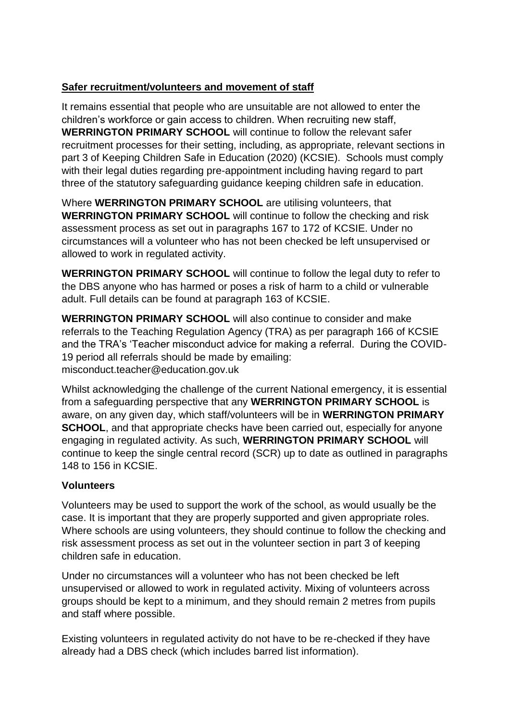### **Safer recruitment/volunteers and movement of staff**

It remains essential that people who are unsuitable are not allowed to enter the children's workforce or gain access to children. When recruiting new staff, **WERRINGTON PRIMARY SCHOOL** will continue to follow the relevant safer recruitment processes for their setting, including, as appropriate, relevant sections in part 3 of Keeping Children Safe in Education (2020) (KCSIE). Schools must comply with their legal duties regarding pre-appointment including having regard to part three of the statutory safeguarding guidance keeping children safe in education.

Where **WERRINGTON PRIMARY SCHOOL** are utilising volunteers, that **WERRINGTON PRIMARY SCHOOL** will continue to follow the checking and risk assessment process as set out in paragraphs 167 to 172 of KCSIE. Under no circumstances will a volunteer who has not been checked be left unsupervised or allowed to work in regulated activity.

**WERRINGTON PRIMARY SCHOOL** will continue to follow the legal duty to refer to the DBS anyone who has harmed or poses a risk of harm to a child or vulnerable adult. Full details can be found at paragraph 163 of KCSIE.

**WERRINGTON PRIMARY SCHOOL** will also continue to consider and make referrals to the Teaching Regulation Agency (TRA) as per paragraph 166 of KCSIE and the TRA's 'Teacher misconduct advice for making a referral. During the COVID-19 period all referrals should be made by emailing: misconduct.teacher@education.gov.uk

Whilst acknowledging the challenge of the current National emergency, it is essential from a safeguarding perspective that any **WERRINGTON PRIMARY SCHOOL** is aware, on any given day, which staff/volunteers will be in **WERRINGTON PRIMARY SCHOOL**, and that appropriate checks have been carried out, especially for anyone engaging in regulated activity. As such, **WERRINGTON PRIMARY SCHOOL** will continue to keep the single central record (SCR) up to date as outlined in paragraphs 148 to 156 in KCSIE.

#### **Volunteers**

Volunteers may be used to support the work of the school, as would usually be the case. It is important that they are properly supported and given appropriate roles. Where schools are using volunteers, they should continue to follow the checking and risk assessment process as set out in the volunteer section in part 3 of keeping children safe in education.

Under no circumstances will a volunteer who has not been checked be left unsupervised or allowed to work in regulated activity. Mixing of volunteers across groups should be kept to a minimum, and they should remain 2 metres from pupils and staff where possible.

Existing volunteers in regulated activity do not have to be re-checked if they have already had a DBS check (which includes barred list information).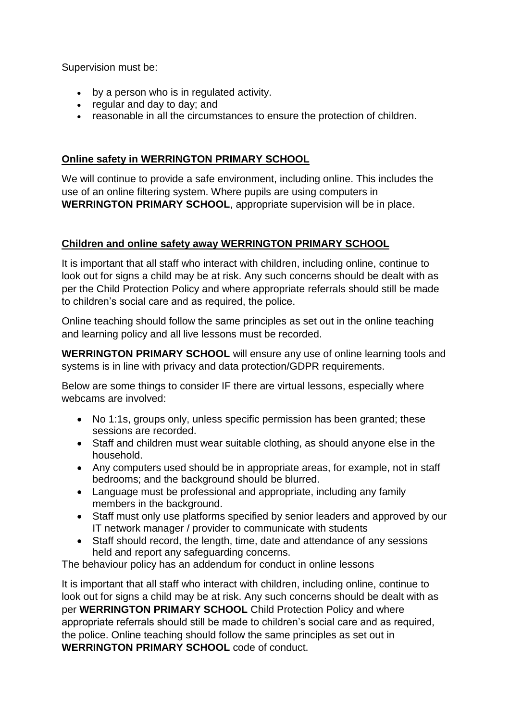Supervision must be:

- by a person who is in regulated activity.
- regular and day to day; and
- reasonable in all the circumstances to ensure the protection of children.

#### **Online safety in WERRINGTON PRIMARY SCHOOL**

We will continue to provide a safe environment, including online. This includes the use of an online filtering system. Where pupils are using computers in **WERRINGTON PRIMARY SCHOOL**, appropriate supervision will be in place.

#### **Children and online safety away WERRINGTON PRIMARY SCHOOL**

It is important that all staff who interact with children, including online, continue to look out for signs a child may be at risk. Any such concerns should be dealt with as per the Child Protection Policy and where appropriate referrals should still be made to children's social care and as required, the police.

Online teaching should follow the same principles as set out in the online teaching and learning policy and all live lessons must be recorded.

**WERRINGTON PRIMARY SCHOOL** will ensure any use of online learning tools and systems is in line with privacy and data protection/GDPR requirements.

Below are some things to consider IF there are virtual lessons, especially where webcams are involved:

- No 1:1s, groups only, unless specific permission has been granted; these sessions are recorded.
- Staff and children must wear suitable clothing, as should anyone else in the household.
- Any computers used should be in appropriate areas, for example, not in staff bedrooms; and the background should be blurred.
- Language must be professional and appropriate, including any family members in the background.
- Staff must only use platforms specified by senior leaders and approved by our IT network manager / provider to communicate with students
- Staff should record, the length, time, date and attendance of any sessions held and report any safeguarding concerns.

The behaviour policy has an addendum for conduct in online lessons

It is important that all staff who interact with children, including online, continue to look out for signs a child may be at risk. Any such concerns should be dealt with as per **WERRINGTON PRIMARY SCHOOL** Child Protection Policy and where appropriate referrals should still be made to children's social care and as required, the police. Online teaching should follow the same principles as set out in **WERRINGTON PRIMARY SCHOOL** code of conduct.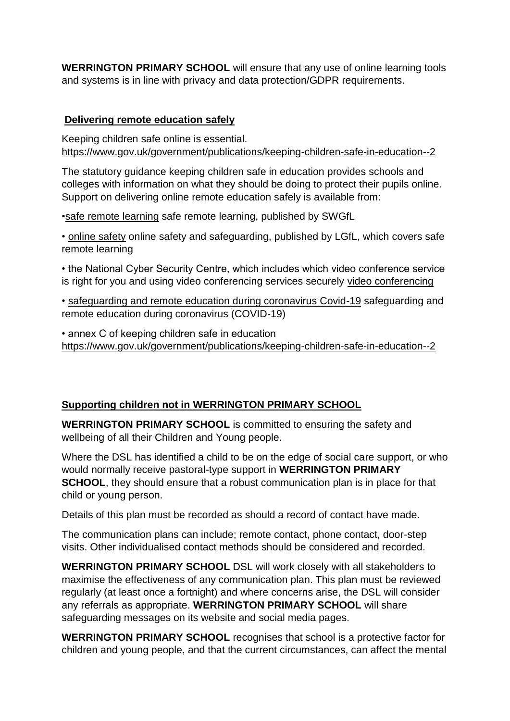**WERRINGTON PRIMARY SCHOOL** will ensure that any use of online learning tools and systems is in line with privacy and data protection/GDPR requirements.

#### **Delivering remote education safely**

Keeping children safe online is essential. [https://www.gov.uk/government/publications/keeping-children-safe-in-education--2](file:///C:/Users/c.prince.WERRINGTON/AppData/Local/Microsoft/Windows/Temporary%20Internet%20Files/Content.Outlook/I0J5QD3Q/keeping%20children%20safe%20in%20education)

The statutory guidance keeping children safe in education provides schools and colleges with information on what they should be doing to protect their pupils online. Support on delivering online remote education safely is available from:

[•safe remote learning](file:///C:/Users/c.prince.WERRINGTON/AppData/Local/Microsoft/Windows/Temporary%20Internet%20Files/Content.Outlook/I0J5QD3Q/safe%20remote%20learning) safe remote learning, published by SWGfL

• [online safety](file:///C:/Users/c.prince.WERRINGTON/AppData/Local/Microsoft/Windows/Temporary%20Internet%20Files/Content.Outlook/I0J5QD3Q/online%20safety) online safety and safeguarding, published by LGfL, which covers safe remote learning

• the National Cyber Security Centre, which includes which video conference service is right for you and using video conferencing services securely [video conferencing](file:///C:/Users/c.prince.WERRINGTON/AppData/Local/Microsoft/Windows/Temporary%20Internet%20Files/Content.Outlook/I0J5QD3Q/video%20conferencing)

• [safeguarding and remote education during coronavirus Covid-19](file:///C:/Users/c.prince.WERRINGTON/AppData/Local/Microsoft/Windows/Temporary%20Internet%20Files/Content.Outlook/I0J5QD3Q/safeguarding%20and%20remote%20education%20during%20coronavirus%20Covid-19) safeguarding and remote education during coronavirus (COVID-19)

• annex C of keeping children safe in education [https://www.gov.uk/government/publications/keeping-children-safe-in-education--2](file:///C:/Users/c.prince.WERRINGTON/AppData/Local/Microsoft/Windows/Temporary%20Internet%20Files/Content.Outlook/I0J5QD3Q/keeping%20children%20safe%20in%20education) 

#### **Supporting children not in WERRINGTON PRIMARY SCHOOL**

**WERRINGTON PRIMARY SCHOOL** is committed to ensuring the safety and wellbeing of all their Children and Young people.

Where the DSL has identified a child to be on the edge of social care support, or who would normally receive pastoral-type support in **WERRINGTON PRIMARY SCHOOL**, they should ensure that a robust communication plan is in place for that child or young person.

Details of this plan must be recorded as should a record of contact have made.

The communication plans can include; remote contact, phone contact, door-step visits. Other individualised contact methods should be considered and recorded.

**WERRINGTON PRIMARY SCHOOL** DSL will work closely with all stakeholders to maximise the effectiveness of any communication plan. This plan must be reviewed regularly (at least once a fortnight) and where concerns arise, the DSL will consider any referrals as appropriate. **WERRINGTON PRIMARY SCHOOL** will share safeguarding messages on its website and social media pages.

**WERRINGTON PRIMARY SCHOOL** recognises that school is a protective factor for children and young people, and that the current circumstances, can affect the mental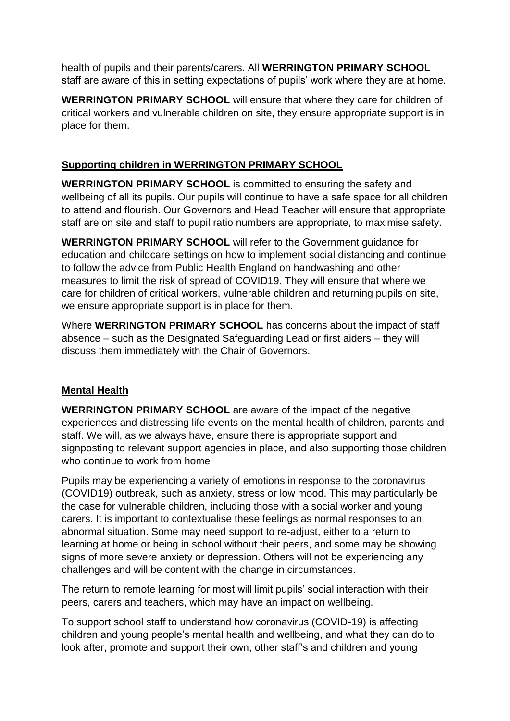health of pupils and their parents/carers. All **WERRINGTON PRIMARY SCHOOL** staff are aware of this in setting expectations of pupils' work where they are at home.

**WERRINGTON PRIMARY SCHOOL** will ensure that where they care for children of critical workers and vulnerable children on site, they ensure appropriate support is in place for them.

#### **Supporting children in WERRINGTON PRIMARY SCHOOL**

**WERRINGTON PRIMARY SCHOOL** is committed to ensuring the safety and wellbeing of all its pupils. Our pupils will continue to have a safe space for all children to attend and flourish. Our Governors and Head Teacher will ensure that appropriate staff are on site and staff to pupil ratio numbers are appropriate, to maximise safety.

**WERRINGTON PRIMARY SCHOOL** will refer to the Government guidance for education and childcare settings on how to implement social distancing and continue to follow the advice from Public Health England on handwashing and other measures to limit the risk of spread of COVID19. They will ensure that where we care for children of critical workers, vulnerable children and returning pupils on site, we ensure appropriate support is in place for them.

Where **WERRINGTON PRIMARY SCHOOL** has concerns about the impact of staff absence – such as the Designated Safeguarding Lead or first aiders – they will discuss them immediately with the Chair of Governors.

#### **Mental Health**

**WERRINGTON PRIMARY SCHOOL** are aware of the impact of the negative experiences and distressing life events on the mental health of children, parents and staff. We will, as we always have, ensure there is appropriate support and signposting to relevant support agencies in place, and also supporting those children who continue to work from home

Pupils may be experiencing a variety of emotions in response to the coronavirus (COVID19) outbreak, such as anxiety, stress or low mood. This may particularly be the case for vulnerable children, including those with a social worker and young carers. It is important to contextualise these feelings as normal responses to an abnormal situation. Some may need support to re-adjust, either to a return to learning at home or being in school without their peers, and some may be showing signs of more severe anxiety or depression. Others will not be experiencing any challenges and will be content with the change in circumstances.

The return to remote learning for most will limit pupils' social interaction with their peers, carers and teachers, which may have an impact on wellbeing.

To support school staff to understand how coronavirus (COVID-19) is affecting children and young people's mental health and wellbeing, and what they can do to look after, promote and support their own, other staff's and children and young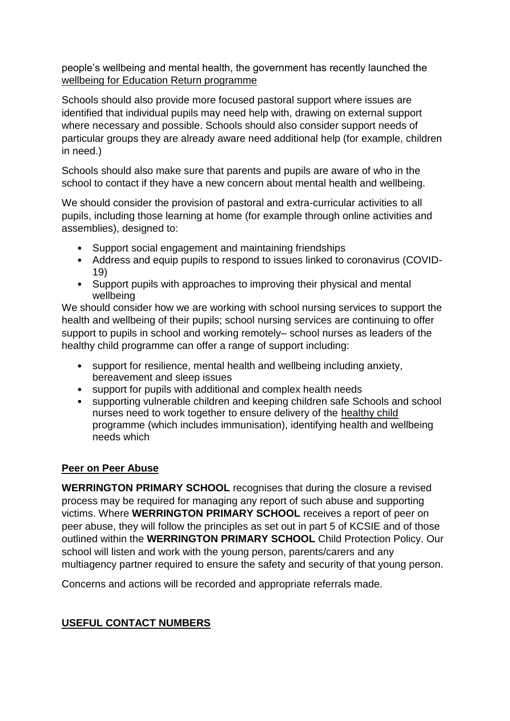people's wellbeing and mental health, the government has recently launched the [wellbeing for Education Return programme](file:///C:/Users/c.prince.WERRINGTON/AppData/Local/Microsoft/Windows/Temporary%20Internet%20Files/Content.Outlook/I0J5QD3Q/wellbeing%20for%20Education%20Return%20programme)

Schools should also provide more focused pastoral support where issues are identified that individual pupils may need help with, drawing on external support where necessary and possible. Schools should also consider support needs of particular groups they are already aware need additional help (for example, children in need.)

Schools should also make sure that parents and pupils are aware of who in the school to contact if they have a new concern about mental health and wellbeing.

We should consider the provision of pastoral and extra-curricular activities to all pupils, including those learning at home (for example through online activities and assemblies), designed to:

- Support social engagement and maintaining friendships
- Address and equip pupils to respond to issues linked to coronavirus (COVID-19)
- Support pupils with approaches to improving their physical and mental wellbeing

We should consider how we are working with school nursing services to support the health and wellbeing of their pupils; school nursing services are continuing to offer support to pupils in school and working remotely– school nurses as leaders of the healthy child programme can offer a range of support including:

- support for resilience, mental health and wellbeing including anxiety, bereavement and sleep issues
- support for pupils with additional and complex health needs
- supporting vulnerable children and keeping children safe Schools and school nurses need to work together to ensure delivery of the [healthy child](file:///C:/Users/c.prince.WERRINGTON/AppData/Local/Microsoft/Windows/Temporary%20Internet%20Files/Content.Outlook/I0J5QD3Q/healthy%20child) programme (which includes immunisation), identifying health and wellbeing needs which

# **Peer on Peer Abuse**

**WERRINGTON PRIMARY SCHOOL** recognises that during the closure a revised process may be required for managing any report of such abuse and supporting victims. Where **WERRINGTON PRIMARY SCHOOL** receives a report of peer on peer abuse, they will follow the principles as set out in part 5 of KCSIE and of those outlined within the **WERRINGTON PRIMARY SCHOOL** Child Protection Policy. Our school will listen and work with the young person, parents/carers and any multiagency partner required to ensure the safety and security of that young person.

Concerns and actions will be recorded and appropriate referrals made.

# **USEFUL CONTACT NUMBERS**